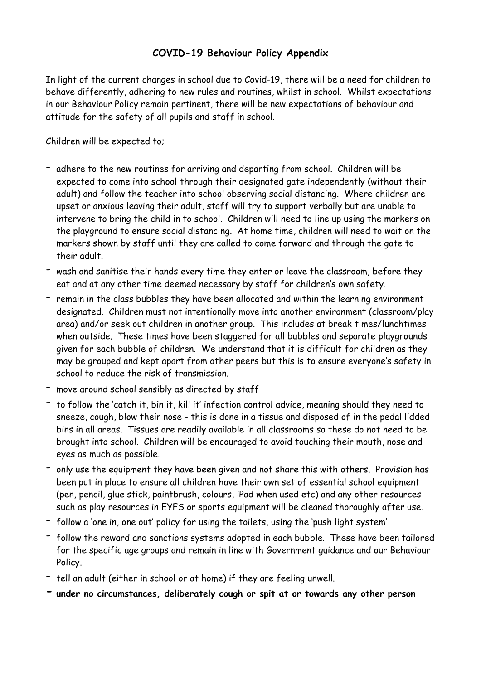## **COVID-19 Behaviour Policy Appendix**

In light of the current changes in school due to Covid-19, there will be a need for children to behave differently, adhering to new rules and routines, whilst in school. Whilst expectations in our Behaviour Policy remain pertinent, there will be new expectations of behaviour and attitude for the safety of all pupils and staff in school.

Children will be expected to;

- adhere to the new routines for arriving and departing from school. Children will be expected to come into school through their designated gate independently (without their adult) and follow the teacher into school observing social distancing. Where children are upset or anxious leaving their adult, staff will try to support verbally but are unable to intervene to bring the child in to school. Children will need to line up using the markers on the playground to ensure social distancing. At home time, children will need to wait on the markers shown by staff until they are called to come forward and through the gate to their adult.
- wash and sanitise their hands every time they enter or leave the classroom, before they eat and at any other time deemed necessary by staff for children's own safety.
- remain in the class bubbles they have been allocated and within the learning environment designated. Children must not intentionally move into another environment (classroom/play area) and/or seek out children in another group. This includes at break times/lunchtimes when outside. These times have been staggered for all bubbles and separate playgrounds given for each bubble of children. We understand that it is difficult for children as they may be grouped and kept apart from other peers but this is to ensure everyone's safety in school to reduce the risk of transmission.
- move around school sensibly as directed by staff
- to follow the 'catch it, bin it, kill it' infection control advice, meaning should they need to sneeze, cough, blow their nose - this is done in a tissue and disposed of in the pedal lidded bins in all areas. Tissues are readily available in all classrooms so these do not need to be brought into school. Children will be encouraged to avoid touching their mouth, nose and eyes as much as possible.
- only use the equipment they have been given and not share this with others. Provision has been put in place to ensure all children have their own set of essential school equipment (pen, pencil, glue stick, paintbrush, colours, iPad when used etc) and any other resources such as play resources in EYFS or sports equipment will be cleaned thoroughly after use.
- follow <sup>a</sup> 'one in, one out' policy for using the toilets, using the 'push light system'
- follow the reward and sanctions systems adopted in each bubble. These have been tailored for the specific age groups and remain in line with Government guidance and our Behaviour Policy.
- tell an adult (either in school or at home) if they are feeling unwell.
- **- under no circumstances, deliberately cough or spit at or towards any other person**